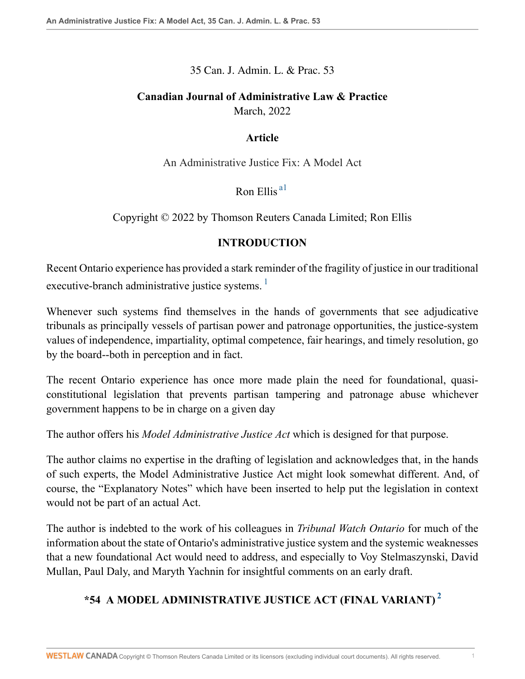35 Can. J. Admin. L. & Prac. 53

# **Canadian Journal of Administrative Law & Practice** March, 2022

### **Article**

An Administrative Justice Fix: A Model Act

<span id="page-0-0"></span>Ron Ellis [a1](#page-22-0)

Copyright © 2022 by Thomson Reuters Canada Limited; Ron Ellis

### <span id="page-0-1"></span>**INTRODUCTION**

Recent Ontario experience has provided a stark reminder of the fragility of justice in our traditional executive-branch administrative justice systems.<sup>[1](#page-22-1)</sup>

Whenever such systems find themselves in the hands of governments that see adjudicative tribunals as principally vessels of partisan power and patronage opportunities, the justice-system values of independence, impartiality, optimal competence, fair hearings, and timely resolution, go by the board--both in perception and in fact.

The recent Ontario experience has once more made plain the need for foundational, quasiconstitutional legislation that prevents partisan tampering and patronage abuse whichever government happens to be in charge on a given day

The author offers his *Model Administrative Justice Act* which is designed for that purpose.

The author claims no expertise in the drafting of legislation and acknowledges that, in the hands of such experts, the Model Administrative Justice Act might look somewhat different. And, of course, the "Explanatory Notes" which have been inserted to help put the legislation in context would not be part of an actual Act.

The author is indebted to the work of his colleagues in *Tribunal Watch Ontario* for much of the information about the state of Ontario's administrative justice system and the systemic weaknesses that a new foundational Act would need to address, and especially to Voy Stelmaszynski, David Mullan, Paul Daly, and Maryth Yachnin for insightful comments on an early draft.

# <span id="page-0-2"></span>**\*54 A MODEL ADMINISTRATIVE JUSTICE ACT (FINAL VARIANT) [2](#page-22-2)**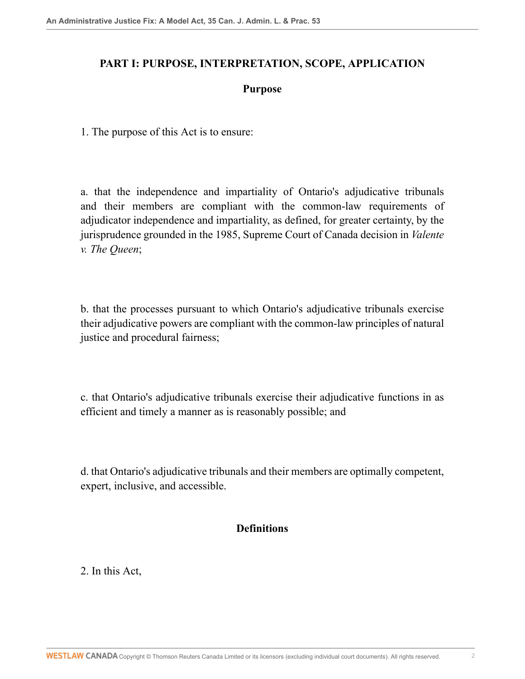### **PART I: PURPOSE, INTERPRETATION, SCOPE, APPLICATION**

### **Purpose**

1. The purpose of this Act is to ensure:

a. that the independence and impartiality of Ontario's adjudicative tribunals and their members are compliant with the common-law requirements of adjudicator independence and impartiality, as defined, for greater certainty, by the jurisprudence grounded in the 1985, Supreme Court of Canada decision in *Valente v. The Queen*;

b. that the processes pursuant to which Ontario's adjudicative tribunals exercise their adjudicative powers are compliant with the common-law principles of natural justice and procedural fairness;

c. that Ontario's adjudicative tribunals exercise their adjudicative functions in as efficient and timely a manner as is reasonably possible; and

d. that Ontario's adjudicative tribunals and their members are optimally competent, expert, inclusive, and accessible.

### **Definitions**

2. In this Act,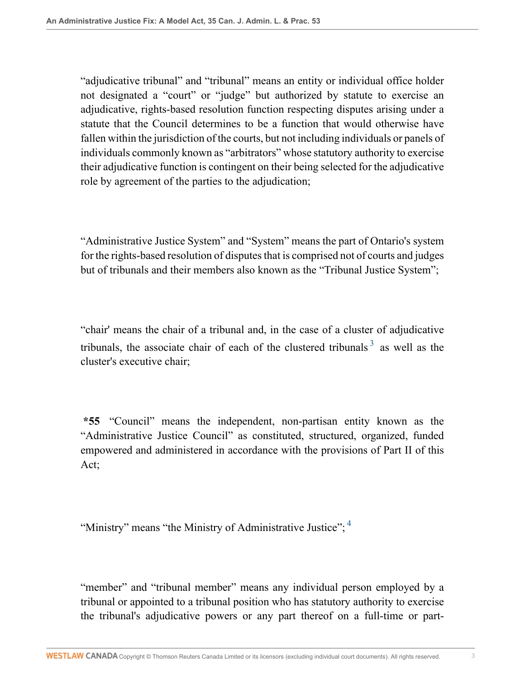"adjudicative tribunal" and "tribunal" means an entity or individual office holder not designated a "court" or "judge" but authorized by statute to exercise an adjudicative, rights-based resolution function respecting disputes arising under a statute that the Council determines to be a function that would otherwise have fallen within the jurisdiction of the courts, but not including individuals or panels of individuals commonly known as "arbitrators" whose statutory authority to exercise their adjudicative function is contingent on their being selected for the adjudicative role by agreement of the parties to the adjudication;

"Administrative Justice System" and "System" means the part of Ontario's system for the rights-based resolution of disputes that is comprised not of courts and judges but of tribunals and their members also known as the "Tribunal Justice System";

<span id="page-2-0"></span>"chair' means the chair of a tribunal and, in the case of a cluster of adjudicative tribunals, the associate chair of each of the clustered tribunals  $3$  as well as the cluster's executive chair;

**\*55** "Council" means the independent, non-partisan entity known as the "Administrative Justice Council" as constituted, structured, organized, funded empowered and administered in accordance with the provisions of Part II of this Act;

<span id="page-2-1"></span>"Ministry" means "the Ministry of Administrative Justice";<sup>[4](#page-23-1)</sup>

"member" and "tribunal member" means any individual person employed by a tribunal or appointed to a tribunal position who has statutory authority to exercise the tribunal's adjudicative powers or any part thereof on a full-time or part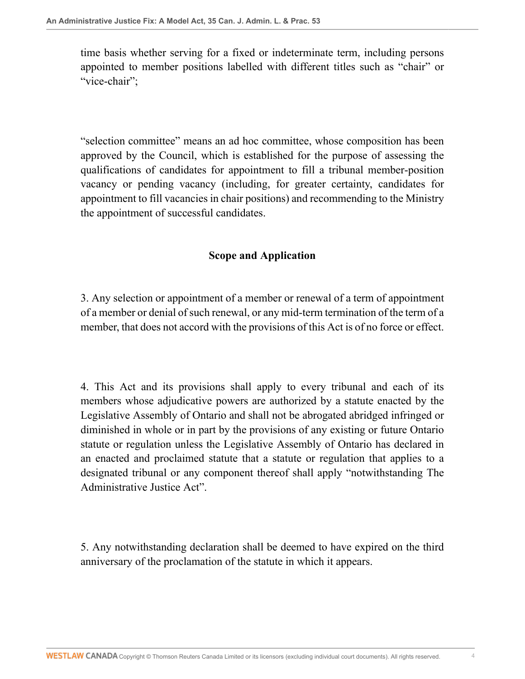time basis whether serving for a fixed or indeterminate term, including persons appointed to member positions labelled with different titles such as "chair" or "vice-chair":

"selection committee" means an ad hoc committee, whose composition has been approved by the Council, which is established for the purpose of assessing the qualifications of candidates for appointment to fill a tribunal member-position vacancy or pending vacancy (including, for greater certainty, candidates for appointment to fill vacancies in chair positions) and recommending to the Ministry the appointment of successful candidates.

## **Scope and Application**

3. Any selection or appointment of a member or renewal of a term of appointment of a member or denial of such renewal, or any mid-term termination of the term of a member, that does not accord with the provisions of this Act is of no force or effect.

4. This Act and its provisions shall apply to every tribunal and each of its members whose adjudicative powers are authorized by a statute enacted by the Legislative Assembly of Ontario and shall not be abrogated abridged infringed or diminished in whole or in part by the provisions of any existing or future Ontario statute or regulation unless the Legislative Assembly of Ontario has declared in an enacted and proclaimed statute that a statute or regulation that applies to a designated tribunal or any component thereof shall apply "notwithstanding The Administrative Justice Act".

5. Any notwithstanding declaration shall be deemed to have expired on the third anniversary of the proclamation of the statute in which it appears.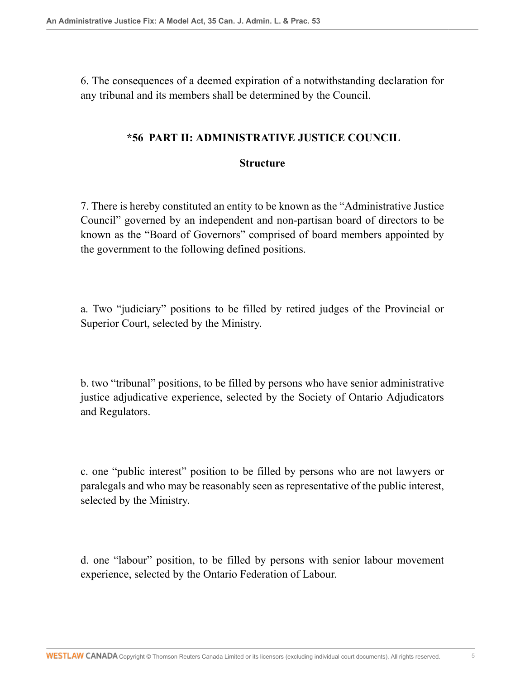6. The consequences of a deemed expiration of a notwithstanding declaration for any tribunal and its members shall be determined by the Council.

### **\*56 PART II: ADMINISTRATIVE JUSTICE COUNCIL**

#### **Structure**

7. There is hereby constituted an entity to be known as the "Administrative Justice Council" governed by an independent and non-partisan board of directors to be known as the "Board of Governors" comprised of board members appointed by the government to the following defined positions.

a. Two "judiciary" positions to be filled by retired judges of the Provincial or Superior Court, selected by the Ministry.

b. two "tribunal" positions, to be filled by persons who have senior administrative justice adjudicative experience, selected by the Society of Ontario Adjudicators and Regulators.

c. one "public interest" position to be filled by persons who are not lawyers or paralegals and who may be reasonably seen as representative of the public interest, selected by the Ministry.

d. one "labour" position, to be filled by persons with senior labour movement experience, selected by the Ontario Federation of Labour.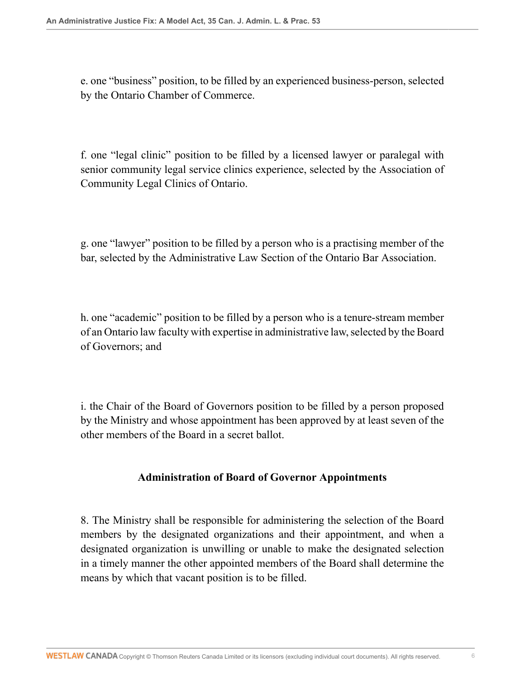e. one "business" position, to be filled by an experienced business-person, selected by the Ontario Chamber of Commerce.

f. one "legal clinic" position to be filled by a licensed lawyer or paralegal with senior community legal service clinics experience, selected by the Association of Community Legal Clinics of Ontario.

g. one "lawyer" position to be filled by a person who is a practising member of the bar, selected by the Administrative Law Section of the Ontario Bar Association.

h. one "academic" position to be filled by a person who is a tenure-stream member of an Ontario law faculty with expertise in administrative law, selected by the Board of Governors; and

i. the Chair of the Board of Governors position to be filled by a person proposed by the Ministry and whose appointment has been approved by at least seven of the other members of the Board in a secret ballot.

# **Administration of Board of Governor Appointments**

8. The Ministry shall be responsible for administering the selection of the Board members by the designated organizations and their appointment, and when a designated organization is unwilling or unable to make the designated selection in a timely manner the other appointed members of the Board shall determine the means by which that vacant position is to be filled.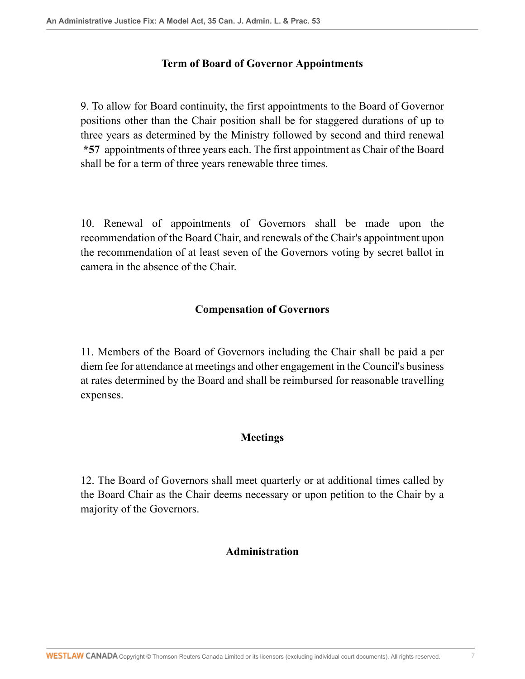### **Term of Board of Governor Appointments**

9. To allow for Board continuity, the first appointments to the Board of Governor positions other than the Chair position shall be for staggered durations of up to three years as determined by the Ministry followed by second and third renewal **\*57** appointments of three years each. The first appointment as Chair of the Board shall be for a term of three years renewable three times.

10. Renewal of appointments of Governors shall be made upon the recommendation of the Board Chair, and renewals of the Chair's appointment upon the recommendation of at least seven of the Governors voting by secret ballot in camera in the absence of the Chair.

### **Compensation of Governors**

11. Members of the Board of Governors including the Chair shall be paid a per diem fee for attendance at meetings and other engagement in the Council's business at rates determined by the Board and shall be reimbursed for reasonable travelling expenses.

# **Meetings**

12. The Board of Governors shall meet quarterly or at additional times called by the Board Chair as the Chair deems necessary or upon petition to the Chair by a majority of the Governors.

### **Administration**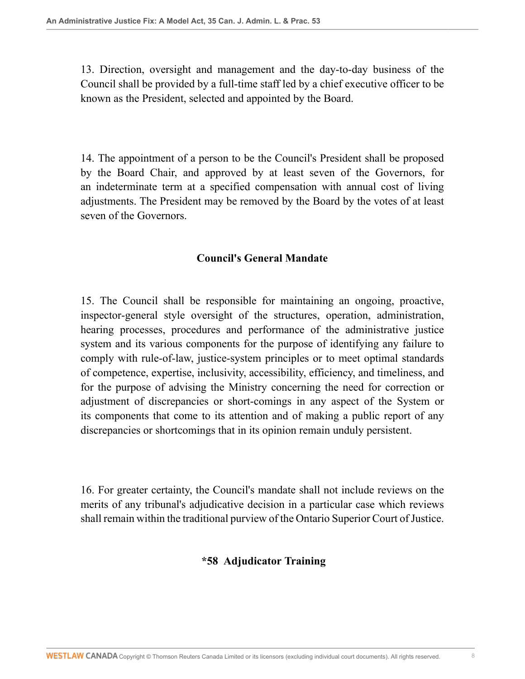13. Direction, oversight and management and the day-to-day business of the Council shall be provided by a full-time staff led by a chief executive officer to be known as the President, selected and appointed by the Board.

14. The appointment of a person to be the Council's President shall be proposed by the Board Chair, and approved by at least seven of the Governors, for an indeterminate term at a specified compensation with annual cost of living adjustments. The President may be removed by the Board by the votes of at least seven of the Governors.

## **Council's General Mandate**

15. The Council shall be responsible for maintaining an ongoing, proactive, inspector-general style oversight of the structures, operation, administration, hearing processes, procedures and performance of the administrative justice system and its various components for the purpose of identifying any failure to comply with rule-of-law, justice-system principles or to meet optimal standards of competence, expertise, inclusivity, accessibility, efficiency, and timeliness, and for the purpose of advising the Ministry concerning the need for correction or adjustment of discrepancies or short-comings in any aspect of the System or its components that come to its attention and of making a public report of any discrepancies or shortcomings that in its opinion remain unduly persistent.

16. For greater certainty, the Council's mandate shall not include reviews on the merits of any tribunal's adjudicative decision in a particular case which reviews shall remain within the traditional purview of the Ontario Superior Court of Justice.

**\*58 Adjudicator Training**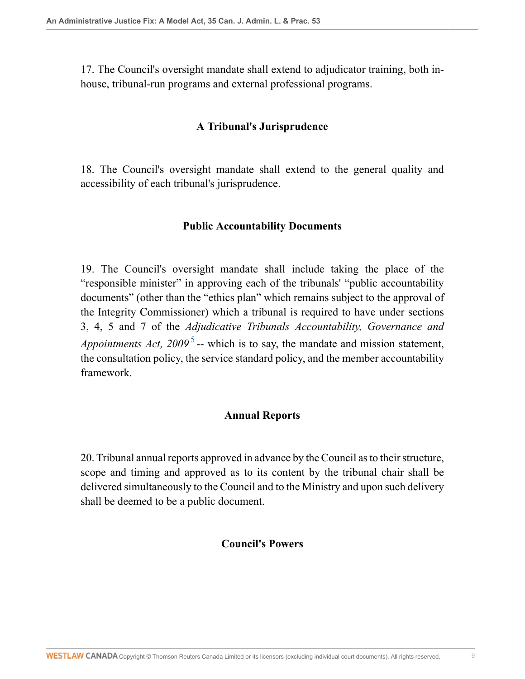17. The Council's oversight mandate shall extend to adjudicator training, both inhouse, tribunal-run programs and external professional programs.

#### **A Tribunal's Jurisprudence**

18. The Council's oversight mandate shall extend to the general quality and accessibility of each tribunal's jurisprudence.

#### **Public Accountability Documents**

19. The Council's oversight mandate shall include taking the place of the "responsible minister" in approving each of the tribunals' "public accountability documents" (other than the "ethics plan" which remains subject to the approval of the Integrity Commissioner) which a tribunal is required to have under sections 3, 4, 5 and 7 of the *Adjudicative Tribunals Accountability, Governance and Appointments Act, 2009*<sup>[5](#page-23-2)</sup> -- which is to say, the mandate and mission statement, the consultation policy, the service standard policy, and the member accountability framework.

#### <span id="page-8-0"></span>**Annual Reports**

20. Tribunal annual reports approved in advance by the Council as to their structure, scope and timing and approved as to its content by the tribunal chair shall be delivered simultaneously to the Council and to the Ministry and upon such delivery shall be deemed to be a public document.

#### **Council's Powers**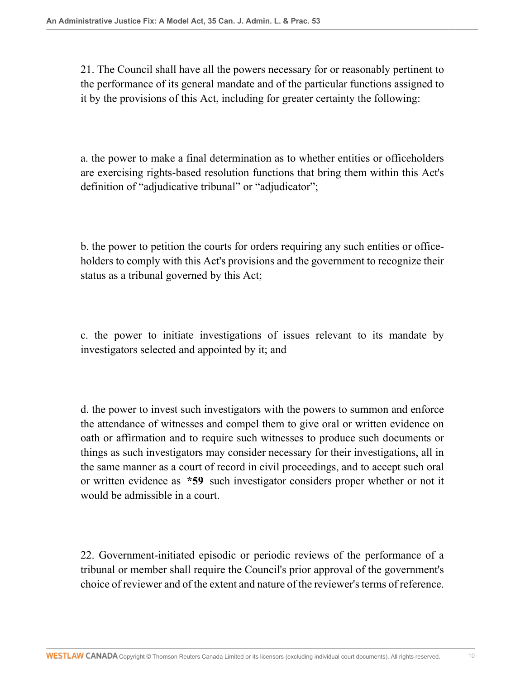21. The Council shall have all the powers necessary for or reasonably pertinent to the performance of its general mandate and of the particular functions assigned to it by the provisions of this Act, including for greater certainty the following:

a. the power to make a final determination as to whether entities or officeholders are exercising rights-based resolution functions that bring them within this Act's definition of "adjudicative tribunal" or "adjudicator";

b. the power to petition the courts for orders requiring any such entities or officeholders to comply with this Act's provisions and the government to recognize their status as a tribunal governed by this Act;

c. the power to initiate investigations of issues relevant to its mandate by investigators selected and appointed by it; and

d. the power to invest such investigators with the powers to summon and enforce the attendance of witnesses and compel them to give oral or written evidence on oath or affirmation and to require such witnesses to produce such documents or things as such investigators may consider necessary for their investigations, all in the same manner as a court of record in civil proceedings, and to accept such oral or written evidence as **\*59** such investigator considers proper whether or not it would be admissible in a court.

22. Government-initiated episodic or periodic reviews of the performance of a tribunal or member shall require the Council's prior approval of the government's choice of reviewer and of the extent and nature of the reviewer's terms of reference.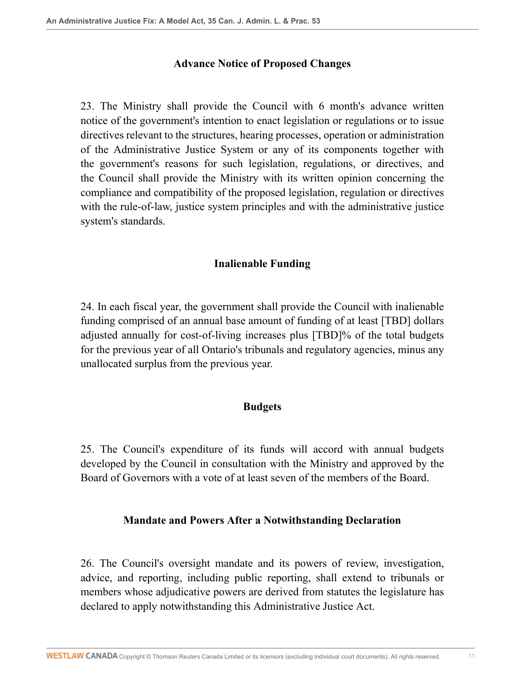#### **Advance Notice of Proposed Changes**

23. The Ministry shall provide the Council with 6 month's advance written notice of the government's intention to enact legislation or regulations or to issue directives relevant to the structures, hearing processes, operation or administration of the Administrative Justice System or any of its components together with the government's reasons for such legislation, regulations, or directives, and the Council shall provide the Ministry with its written opinion concerning the compliance and compatibility of the proposed legislation, regulation or directives with the rule-of-law, justice system principles and with the administrative justice system's standards.

#### **Inalienable Funding**

24. In each fiscal year, the government shall provide the Council with inalienable funding comprised of an annual base amount of funding of at least [TBD] dollars adjusted annually for cost-of-living increases plus [TBD]% of the total budgets for the previous year of all Ontario's tribunals and regulatory agencies, minus any unallocated surplus from the previous year.

#### **Budgets**

25. The Council's expenditure of its funds will accord with annual budgets developed by the Council in consultation with the Ministry and approved by the Board of Governors with a vote of at least seven of the members of the Board.

#### **Mandate and Powers After a Notwithstanding Declaration**

26. The Council's oversight mandate and its powers of review, investigation, advice, and reporting, including public reporting, shall extend to tribunals or members whose adjudicative powers are derived from statutes the legislature has declared to apply notwithstanding this Administrative Justice Act.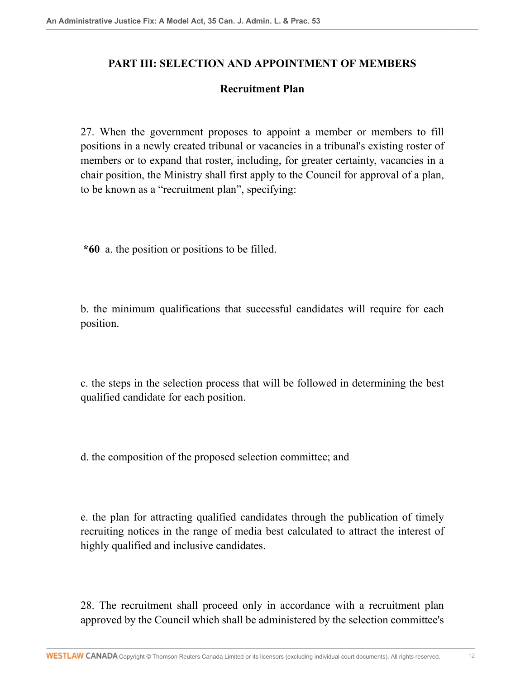## **PART III: SELECTION AND APPOINTMENT OF MEMBERS**

### **Recruitment Plan**

27. When the government proposes to appoint a member or members to fill positions in a newly created tribunal or vacancies in a tribunal's existing roster of members or to expand that roster, including, for greater certainty, vacancies in a chair position, the Ministry shall first apply to the Council for approval of a plan, to be known as a "recruitment plan", specifying:

**\*60** a. the position or positions to be filled.

b. the minimum qualifications that successful candidates will require for each position.

c. the steps in the selection process that will be followed in determining the best qualified candidate for each position.

d. the composition of the proposed selection committee; and

e. the plan for attracting qualified candidates through the publication of timely recruiting notices in the range of media best calculated to attract the interest of highly qualified and inclusive candidates.

28. The recruitment shall proceed only in accordance with a recruitment plan approved by the Council which shall be administered by the selection committee's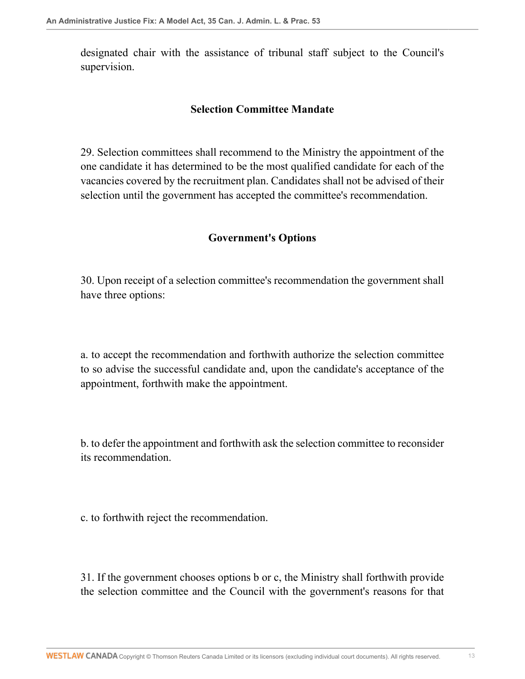designated chair with the assistance of tribunal staff subject to the Council's supervision.

### **Selection Committee Mandate**

29. Selection committees shall recommend to the Ministry the appointment of the one candidate it has determined to be the most qualified candidate for each of the vacancies covered by the recruitment plan. Candidates shall not be advised of their selection until the government has accepted the committee's recommendation.

### **Government's Options**

30. Upon receipt of a selection committee's recommendation the government shall have three options:

a. to accept the recommendation and forthwith authorize the selection committee to so advise the successful candidate and, upon the candidate's acceptance of the appointment, forthwith make the appointment.

b. to defer the appointment and forthwith ask the selection committee to reconsider its recommendation.

c. to forthwith reject the recommendation.

31. If the government chooses options b or c, the Ministry shall forthwith provide the selection committee and the Council with the government's reasons for that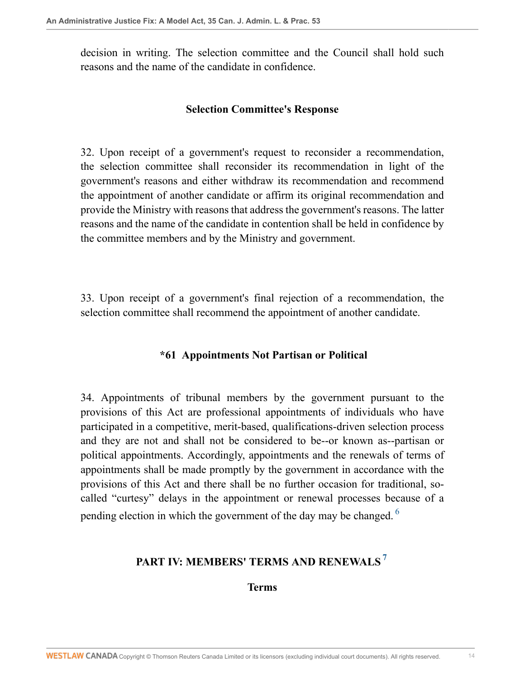decision in writing. The selection committee and the Council shall hold such reasons and the name of the candidate in confidence.

### **Selection Committee's Response**

32. Upon receipt of a government's request to reconsider a recommendation, the selection committee shall reconsider its recommendation in light of the government's reasons and either withdraw its recommendation and recommend the appointment of another candidate or affirm its original recommendation and provide the Ministry with reasons that address the government's reasons. The latter reasons and the name of the candidate in contention shall be held in confidence by the committee members and by the Ministry and government.

33. Upon receipt of a government's final rejection of a recommendation, the selection committee shall recommend the appointment of another candidate.

# **\*61 Appointments Not Partisan or Political**

34. Appointments of tribunal members by the government pursuant to the provisions of this Act are professional appointments of individuals who have participated in a competitive, merit-based, qualifications-driven selection process and they are not and shall not be considered to be--or known as--partisan or political appointments. Accordingly, appointments and the renewals of terms of appointments shall be made promptly by the government in accordance with the provisions of this Act and there shall be no further occasion for traditional, socalled "curtesy" delays in the appointment or renewal processes because of a pending election in which the government of the day may be changed.  $6\overline{ }$  $6\overline{ }$ 

# **PART IV: MEMBERS' TERMS AND RENEWALS [7](#page-23-4)**

<span id="page-13-1"></span><span id="page-13-0"></span>**Terms**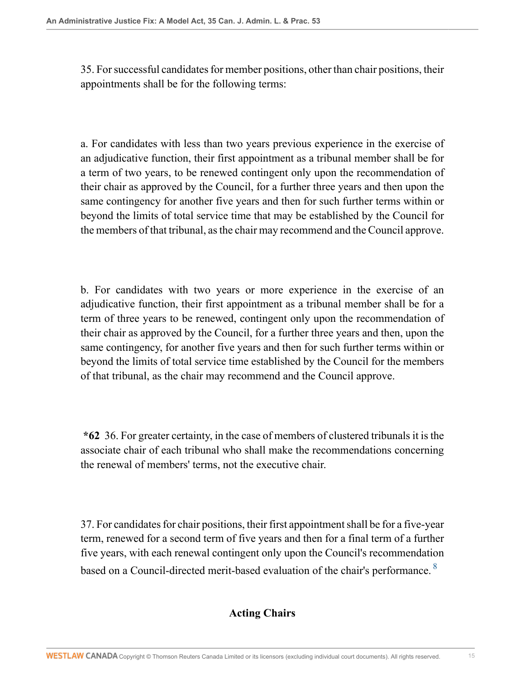35. For successful candidates for member positions, other than chair positions, their appointments shall be for the following terms:

a. For candidates with less than two years previous experience in the exercise of an adjudicative function, their first appointment as a tribunal member shall be for a term of two years, to be renewed contingent only upon the recommendation of their chair as approved by the Council, for a further three years and then upon the same contingency for another five years and then for such further terms within or beyond the limits of total service time that may be established by the Council for the members of that tribunal, as the chair may recommend and the Council approve.

b. For candidates with two years or more experience in the exercise of an adjudicative function, their first appointment as a tribunal member shall be for a term of three years to be renewed, contingent only upon the recommendation of their chair as approved by the Council, for a further three years and then, upon the same contingency, for another five years and then for such further terms within or beyond the limits of total service time established by the Council for the members of that tribunal, as the chair may recommend and the Council approve.

**\*62** 36. For greater certainty, in the case of members of clustered tribunals it is the associate chair of each tribunal who shall make the recommendations concerning the renewal of members' terms, not the executive chair.

37. For candidates for chair positions, their first appointment shall be for a five-year term, renewed for a second term of five years and then for a final term of a further five years, with each renewal contingent only upon the Council's recommendation based on a Council-directed merit-based evaluation of the chair's performance. <sup>[8](#page-23-5)</sup>

# <span id="page-14-0"></span>**Acting Chairs**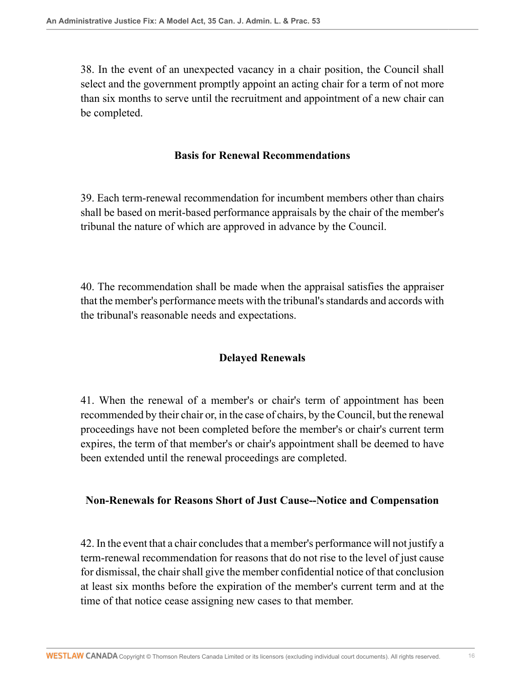38. In the event of an unexpected vacancy in a chair position, the Council shall select and the government promptly appoint an acting chair for a term of not more than six months to serve until the recruitment and appointment of a new chair can be completed.

### **Basis for Renewal Recommendations**

39. Each term-renewal recommendation for incumbent members other than chairs shall be based on merit-based performance appraisals by the chair of the member's tribunal the nature of which are approved in advance by the Council.

40. The recommendation shall be made when the appraisal satisfies the appraiser that the member's performance meets with the tribunal's standards and accords with the tribunal's reasonable needs and expectations.

# **Delayed Renewals**

41. When the renewal of a member's or chair's term of appointment has been recommended by their chair or, in the case of chairs, by the Council, but the renewal proceedings have not been completed before the member's or chair's current term expires, the term of that member's or chair's appointment shall be deemed to have been extended until the renewal proceedings are completed.

### **Non-Renewals for Reasons Short of Just Cause--Notice and Compensation**

42. In the event that a chair concludes that a member's performance will not justify a term-renewal recommendation for reasons that do not rise to the level of just cause for dismissal, the chair shall give the member confidential notice of that conclusion at least six months before the expiration of the member's current term and at the time of that notice cease assigning new cases to that member.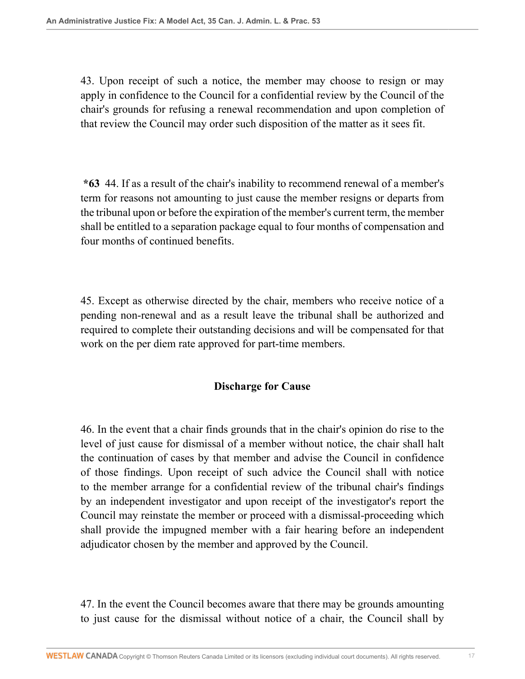43. Upon receipt of such a notice, the member may choose to resign or may apply in confidence to the Council for a confidential review by the Council of the chair's grounds for refusing a renewal recommendation and upon completion of that review the Council may order such disposition of the matter as it sees fit.

**\*63** 44. If as a result of the chair's inability to recommend renewal of a member's term for reasons not amounting to just cause the member resigns or departs from the tribunal upon or before the expiration of the member's current term, the member shall be entitled to a separation package equal to four months of compensation and four months of continued benefits.

45. Except as otherwise directed by the chair, members who receive notice of a pending non-renewal and as a result leave the tribunal shall be authorized and required to complete their outstanding decisions and will be compensated for that work on the per diem rate approved for part-time members.

### **Discharge for Cause**

46. In the event that a chair finds grounds that in the chair's opinion do rise to the level of just cause for dismissal of a member without notice, the chair shall halt the continuation of cases by that member and advise the Council in confidence of those findings. Upon receipt of such advice the Council shall with notice to the member arrange for a confidential review of the tribunal chair's findings by an independent investigator and upon receipt of the investigator's report the Council may reinstate the member or proceed with a dismissal-proceeding which shall provide the impugned member with a fair hearing before an independent adjudicator chosen by the member and approved by the Council.

47. In the event the Council becomes aware that there may be grounds amounting to just cause for the dismissal without notice of a chair, the Council shall by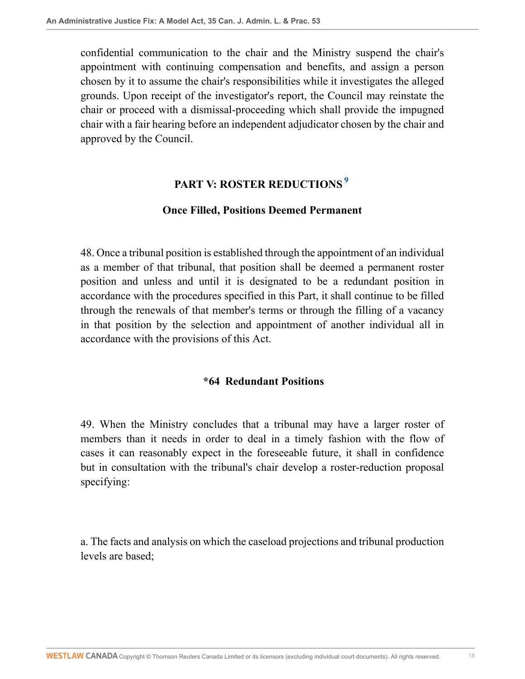confidential communication to the chair and the Ministry suspend the chair's appointment with continuing compensation and benefits, and assign a person chosen by it to assume the chair's responsibilities while it investigates the alleged grounds. Upon receipt of the investigator's report, the Council may reinstate the chair or proceed with a dismissal-proceeding which shall provide the impugned chair with a fair hearing before an independent adjudicator chosen by the chair and approved by the Council.

# <span id="page-17-0"></span>**PART V: ROSTER REDUCTIONS [9](#page-23-6)**

### **Once Filled, Positions Deemed Permanent**

48. Once a tribunal position is established through the appointment of an individual as a member of that tribunal, that position shall be deemed a permanent roster position and unless and until it is designated to be a redundant position in accordance with the procedures specified in this Part, it shall continue to be filled through the renewals of that member's terms or through the filling of a vacancy in that position by the selection and appointment of another individual all in accordance with the provisions of this Act.

### **\*64 Redundant Positions**

49. When the Ministry concludes that a tribunal may have a larger roster of members than it needs in order to deal in a timely fashion with the flow of cases it can reasonably expect in the foreseeable future, it shall in confidence but in consultation with the tribunal's chair develop a roster-reduction proposal specifying:

a. The facts and analysis on which the caseload projections and tribunal production levels are based;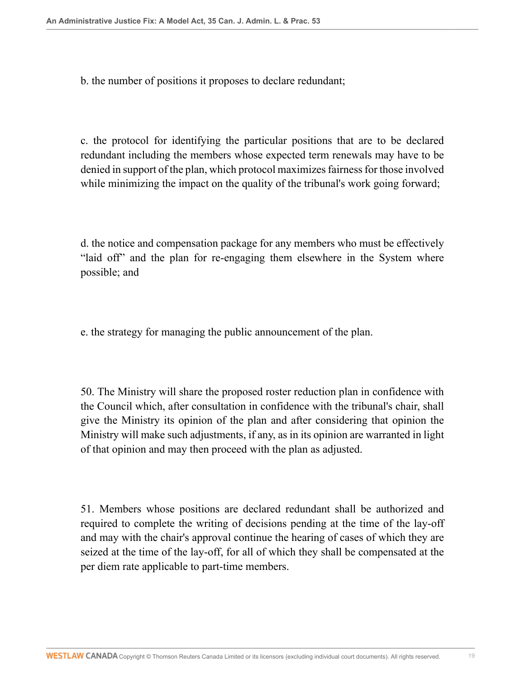b. the number of positions it proposes to declare redundant;

c. the protocol for identifying the particular positions that are to be declared redundant including the members whose expected term renewals may have to be denied in support of the plan, which protocol maximizes fairness for those involved while minimizing the impact on the quality of the tribunal's work going forward;

d. the notice and compensation package for any members who must be effectively "laid off" and the plan for re-engaging them elsewhere in the System where possible; and

e. the strategy for managing the public announcement of the plan.

50. The Ministry will share the proposed roster reduction plan in confidence with the Council which, after consultation in confidence with the tribunal's chair, shall give the Ministry its opinion of the plan and after considering that opinion the Ministry will make such adjustments, if any, as in its opinion are warranted in light of that opinion and may then proceed with the plan as adjusted.

51. Members whose positions are declared redundant shall be authorized and required to complete the writing of decisions pending at the time of the lay-off and may with the chair's approval continue the hearing of cases of which they are seized at the time of the lay-off, for all of which they shall be compensated at the per diem rate applicable to part-time members.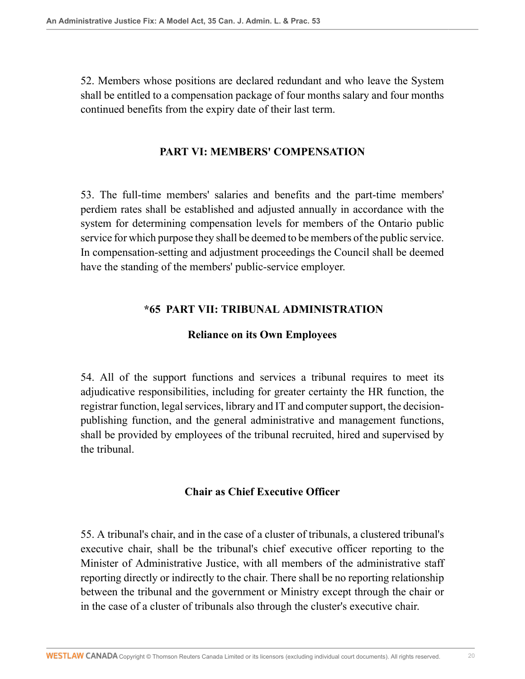52. Members whose positions are declared redundant and who leave the System shall be entitled to a compensation package of four months salary and four months continued benefits from the expiry date of their last term.

### **PART VI: MEMBERS' COMPENSATION**

53. The full-time members' salaries and benefits and the part-time members' perdiem rates shall be established and adjusted annually in accordance with the system for determining compensation levels for members of the Ontario public service for which purpose they shall be deemed to be members of the public service. In compensation-setting and adjustment proceedings the Council shall be deemed have the standing of the members' public-service employer.

## **\*65 PART VII: TRIBUNAL ADMINISTRATION**

## **Reliance on its Own Employees**

54. All of the support functions and services a tribunal requires to meet its adjudicative responsibilities, including for greater certainty the HR function, the registrar function, legal services, library and IT and computer support, the decisionpublishing function, and the general administrative and management functions, shall be provided by employees of the tribunal recruited, hired and supervised by the tribunal.

### **Chair as Chief Executive Officer**

55. A tribunal's chair, and in the case of a cluster of tribunals, a clustered tribunal's executive chair, shall be the tribunal's chief executive officer reporting to the Minister of Administrative Justice, with all members of the administrative staff reporting directly or indirectly to the chair. There shall be no reporting relationship between the tribunal and the government or Ministry except through the chair or in the case of a cluster of tribunals also through the cluster's executive chair.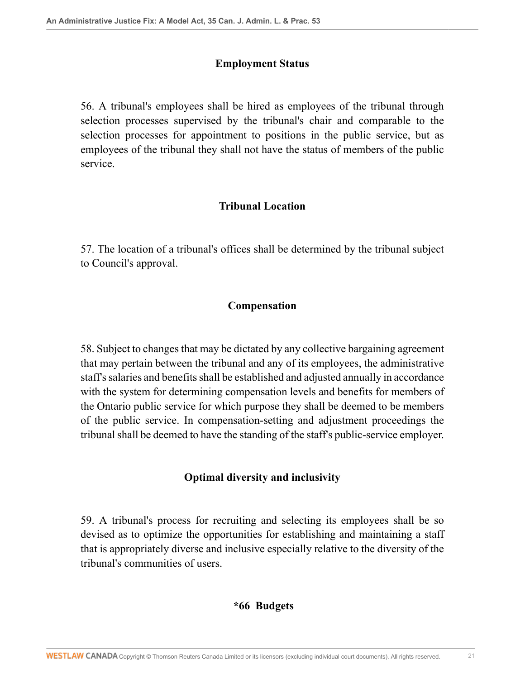### **Employment Status**

56. A tribunal's employees shall be hired as employees of the tribunal through selection processes supervised by the tribunal's chair and comparable to the selection processes for appointment to positions in the public service, but as employees of the tribunal they shall not have the status of members of the public service.

# **Tribunal Location**

57. The location of a tribunal's offices shall be determined by the tribunal subject to Council's approval.

# **Compensation**

58. Subject to changes that may be dictated by any collective bargaining agreement that may pertain between the tribunal and any of its employees, the administrative staff's salaries and benefits shall be established and adjusted annually in accordance with the system for determining compensation levels and benefits for members of the Ontario public service for which purpose they shall be deemed to be members of the public service. In compensation-setting and adjustment proceedings the tribunal shall be deemed to have the standing of the staff's public-service employer.

# **Optimal diversity and inclusivity**

59. A tribunal's process for recruiting and selecting its employees shall be so devised as to optimize the opportunities for establishing and maintaining a staff that is appropriately diverse and inclusive especially relative to the diversity of the tribunal's communities of users.

# **\*66 Budgets**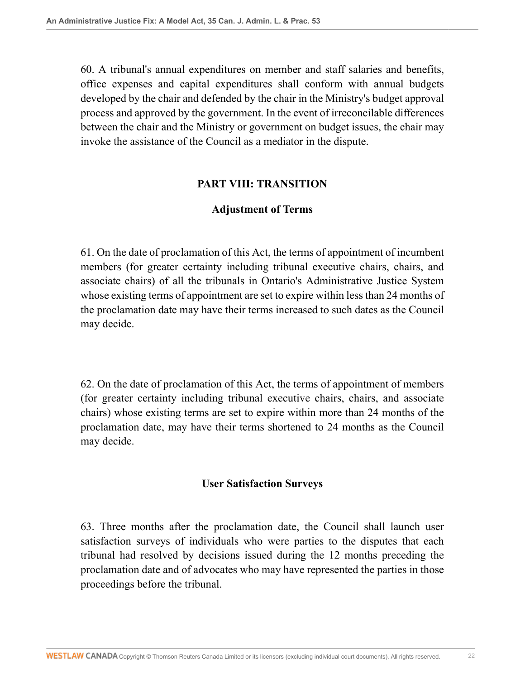60. A tribunal's annual expenditures on member and staff salaries and benefits, office expenses and capital expenditures shall conform with annual budgets developed by the chair and defended by the chair in the Ministry's budget approval process and approved by the government. In the event of irreconcilable differences between the chair and the Ministry or government on budget issues, the chair may invoke the assistance of the Council as a mediator in the dispute.

#### **PART VIII: TRANSITION**

#### **Adjustment of Terms**

61. On the date of proclamation of this Act, the terms of appointment of incumbent members (for greater certainty including tribunal executive chairs, chairs, and associate chairs) of all the tribunals in Ontario's Administrative Justice System whose existing terms of appointment are set to expire within less than 24 months of the proclamation date may have their terms increased to such dates as the Council may decide.

62. On the date of proclamation of this Act, the terms of appointment of members (for greater certainty including tribunal executive chairs, chairs, and associate chairs) whose existing terms are set to expire within more than 24 months of the proclamation date, may have their terms shortened to 24 months as the Council may decide.

#### **User Satisfaction Surveys**

63. Three months after the proclamation date, the Council shall launch user satisfaction surveys of individuals who were parties to the disputes that each tribunal had resolved by decisions issued during the 12 months preceding the proclamation date and of advocates who may have represented the parties in those proceedings before the tribunal.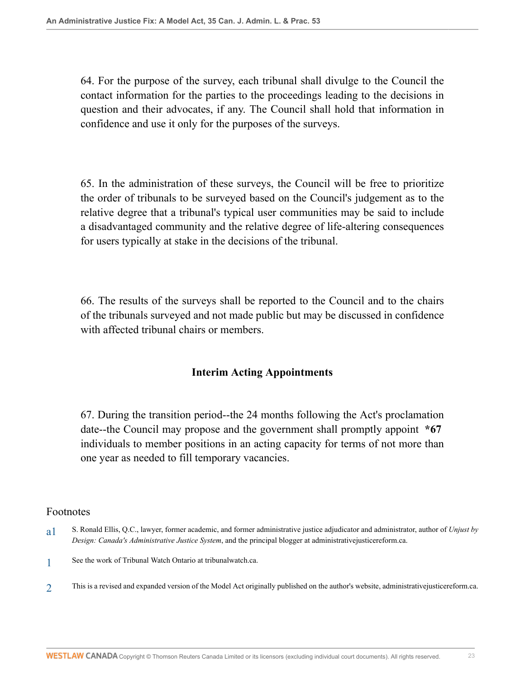64. For the purpose of the survey, each tribunal shall divulge to the Council the contact information for the parties to the proceedings leading to the decisions in question and their advocates, if any. The Council shall hold that information in confidence and use it only for the purposes of the surveys.

65. In the administration of these surveys, the Council will be free to prioritize the order of tribunals to be surveyed based on the Council's judgement as to the relative degree that a tribunal's typical user communities may be said to include a disadvantaged community and the relative degree of life-altering consequences for users typically at stake in the decisions of the tribunal.

66. The results of the surveys shall be reported to the Council and to the chairs of the tribunals surveyed and not made public but may be discussed in confidence with affected tribunal chairs or members.

### **Interim Acting Appointments**

67. During the transition period--the 24 months following the Act's proclamation date--the Council may propose and the government shall promptly appoint **\*67** individuals to member positions in an acting capacity for terms of not more than one year as needed to fill temporary vacancies.

#### Footnotes

<span id="page-22-0"></span>[a1](#page-0-0) S. Ronald Ellis, Q.C., lawyer, former academic, and former administrative justice adjudicator and administrator, author of *Unjust by Design: Canada's Administrative Justice System*, and the principal blogger at administrativejusticereform.ca.

<span id="page-22-1"></span>[1](#page-0-1) See the work of Tribunal Watch Ontario at tribunalwatch.ca.

<span id="page-22-2"></span> $\mathfrak{D}$ This is a revised and expanded version of the Model Act originally published on the author's website, administrativejusticereform.ca.